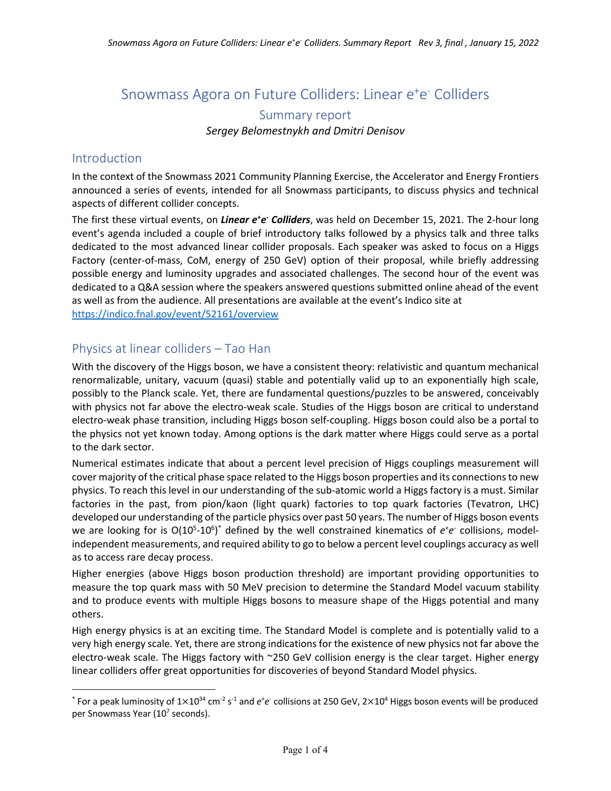# Snowmass Agora on Future Colliders: Linear e<sup>+</sup>e<sup>-</sup> Colliders Summary report *Sergey Belomestnykh and Dmitri Denisov*

#### Introduction

In the context of the Snowmass 2021 Community Planning Exercise, the Accelerator and Energy Frontiers announced a series of events, intended for all Snowmass participants, to discuss physics and technical aspects of different collider concepts.

The first these virtual events, on *Linear e<sup>+</sup>e<sup>-</sup> Colliders*, was held on December 15, 2021. The 2-hour long event's agenda included a couple of brief introductory talks followed by a physics talk and three talks dedicated to the most advanced linear collider proposals. Each speaker was asked to focus on a Higgs Factory (center-of-mass, CoM, energy of 250 GeV) option of their proposal, while briefly addressing possible energy and luminosity upgrades and associated challenges. The second hour of the event was dedicated to a Q&A session where the speakers answered questions submitted online ahead of the event as well as from the audience. All presentations are available at the event's Indico site at https://indico.fnal.gov/event/52161/overview

## Physics at linear colliders – Tao Han

With the discovery of the Higgs boson, we have a consistent theory: relativistic and quantum mechanical renormalizable, unitary, vacuum (quasi) stable and potentially valid up to an exponentially high scale, possibly to the Planck scale. Yet, there are fundamental questions/puzzles to be answered, conceivably with physics not far above the electro-weak scale. Studies of the Higgs boson are critical to understand electro-weak phase transition, including Higgs boson self-coupling. Higgs boson could also be a portal to the physics not yet known today. Among options is the dark matter where Higgs could serve as a portal to the dark sector.

Numerical estimates indicate that about a percent level precision of Higgs couplings measurement will cover majority of the critical phase space related to the Higgs boson properties and its connections to new physics. To reach this level in our understanding of the sub-atomic world a Higgs factory is a must. Similar factories in the past, from pion/kaon (light quark) factories to top quark factories (Tevatron, LHC) developed our understanding of the particle physics over past 50 years. The number of Higgs boson events we are looking for is O(10<sup>5</sup>-10<sup>6</sup>)<sup>\*</sup> defined by the well constrained kinematics of  $e^+e^-$  collisions, modelindependent measurements, and required ability to go to below a percent level couplings accuracy as well as to access rare decay process.

Higher energies (above Higgs boson production threshold) are important providing opportunities to measure the top quark mass with 50 MeV precision to determine the Standard Model vacuum stability and to produce events with multiple Higgs bosons to measure shape of the Higgs potential and many others.

High energy physics is at an exciting time. The Standard Model is complete and is potentially valid to a very high energy scale. Yet, there are strong indications for the existence of new physics not far above the electro-weak scale. The Higgs factory with ~250 GeV collision energy is the clear target. Higher energy linear colliders offer great opportunities for discoveries of beyond Standard Model physics.

<sup>\*</sup> For a peak luminosity of 1×10<sup>34</sup> cm<sup>-2</sup> s<sup>-1</sup> and e<sup>+</sup>e<sup>-</sup> collisions at 250 GeV, 2×10<sup>4</sup> Higgs boson events will be produced per Snowmass Year (10<sup>7</sup> seconds).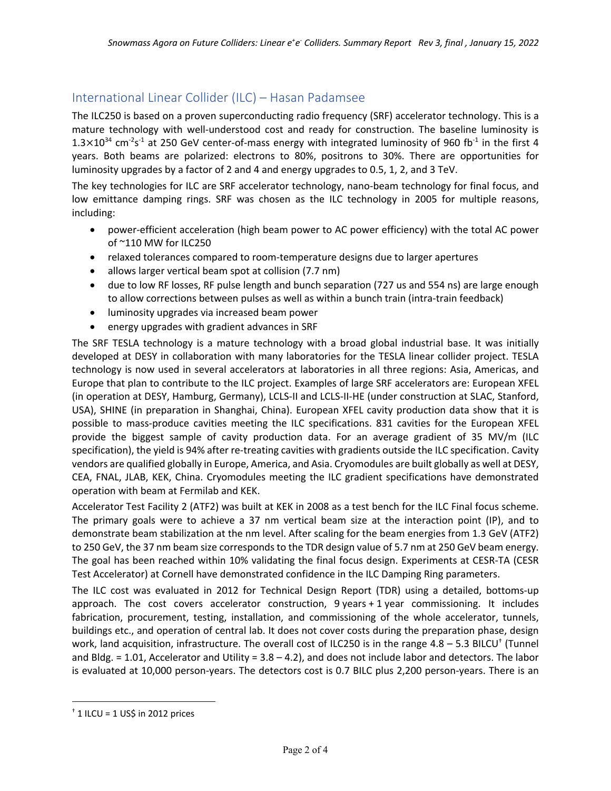## International Linear Collider (ILC) – Hasan Padamsee

The ILC250 is based on a proven superconducting radio frequency (SRF) accelerator technology. This is a mature technology with well-understood cost and ready for construction. The baseline luminosity is  $1.3\times10^{34}$  cm<sup>-2</sup>s<sup>-1</sup> at 250 GeV center-of-mass energy with integrated luminosity of 960 fb<sup>-1</sup> in the first 4 years. Both beams are polarized: electrons to 80%, positrons to 30%. There are opportunities for luminosity upgrades by a factor of 2 and 4 and energy upgrades to 0.5, 1, 2, and 3 TeV.

The key technologies for ILC are SRF accelerator technology, nano-beam technology for final focus, and low emittance damping rings. SRF was chosen as the ILC technology in 2005 for multiple reasons, including:

- power-efficient acceleration (high beam power to AC power efficiency) with the total AC power of ~110 MW for ILC250
- relaxed tolerances compared to room-temperature designs due to larger apertures
- allows larger vertical beam spot at collision (7.7 nm)
- due to low RF losses, RF pulse length and bunch separation (727 us and 554 ns) are large enough to allow corrections between pulses as well as within a bunch train (intra-train feedback)
- luminosity upgrades via increased beam power
- energy upgrades with gradient advances in SRF

The SRF TESLA technology is a mature technology with a broad global industrial base. It was initially developed at DESY in collaboration with many laboratories for the TESLA linear collider project. TESLA technology is now used in several accelerators at laboratories in all three regions: Asia, Americas, and Europe that plan to contribute to the ILC project. Examples of large SRF accelerators are: European XFEL (in operation at DESY, Hamburg, Germany), LCLS-II and LCLS-II-HE (under construction at SLAC, Stanford, USA), SHINE (in preparation in Shanghai, China). European XFEL cavity production data show that it is possible to mass-produce cavities meeting the ILC specifications. 831 cavities for the European XFEL provide the biggest sample of cavity production data. For an average gradient of 35 MV/m (ILC specification), the yield is 94% after re-treating cavities with gradients outside the ILC specification. Cavity vendors are qualified globally in Europe, America, and Asia. Cryomodules are built globally as well at DESY, CEA, FNAL, JLAB, KEK, China. Cryomodules meeting the ILC gradient specifications have demonstrated operation with beam at Fermilab and KEK.

Accelerator Test Facility 2 (ATF2) was built at KEK in 2008 as a test bench for the ILC Final focus scheme. The primary goals were to achieve a 37 nm vertical beam size at the interaction point (IP), and to demonstrate beam stabilization at the nm level. After scaling for the beam energies from 1.3 GeV (ATF2) to 250 GeV, the 37 nm beam size corresponds to the TDR design value of 5.7 nm at 250 GeV beam energy. The goal has been reached within 10% validating the final focus design. Experiments at CESR-TA (CESR Test Accelerator) at Cornell have demonstrated confidence in the ILC Damping Ring parameters.

The ILC cost was evaluated in 2012 for Technical Design Report (TDR) using a detailed, bottoms-up approach. The cost covers accelerator construction, 9 years + 1 year commissioning. It includes fabrication, procurement, testing, installation, and commissioning of the whole accelerator, tunnels, buildings etc., and operation of central lab. It does not cover costs during the preparation phase, design work, land acquisition, infrastructure. The overall cost of ILC250 is in the range 4.8 – 5.3 BILCU<sup>†</sup> (Tunnel and Bldg. = 1.01, Accelerator and Utility = 3.8 – 4.2), and does not include labor and detectors. The labor is evaluated at 10,000 person-years. The detectors cost is 0.7 BILC plus 2,200 person-years. There is an

 $<sup>†</sup>$  1 ILCU = 1 US\$ in 2012 prices</sup>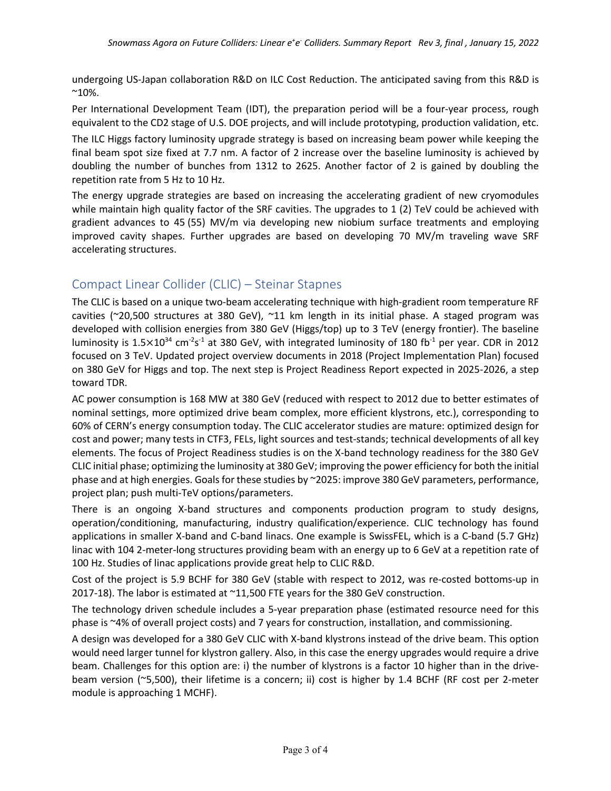undergoing US-Japan collaboration R&D on ILC Cost Reduction. The anticipated saving from this R&D is  $^{\sim}10\%$ .

Per International Development Team (IDT), the preparation period will be a four-year process, rough equivalent to the CD2 stage of U.S. DOE projects, and will include prototyping, production validation, etc.

The ILC Higgs factory luminosity upgrade strategy is based on increasing beam power while keeping the final beam spot size fixed at 7.7 nm. A factor of 2 increase over the baseline luminosity is achieved by doubling the number of bunches from 1312 to 2625. Another factor of 2 is gained by doubling the repetition rate from 5 Hz to 10 Hz.

The energy upgrade strategies are based on increasing the accelerating gradient of new cryomodules while maintain high quality factor of the SRF cavities. The upgrades to 1 (2) TeV could be achieved with gradient advances to 45 (55) MV/m via developing new niobium surface treatments and employing improved cavity shapes. Further upgrades are based on developing 70 MV/m traveling wave SRF accelerating structures.

## Compact Linear Collider (CLIC) – Steinar Stapnes

The CLIC is based on a unique two-beam accelerating technique with high-gradient room temperature RF cavities ( $\approx$ 20,500 structures at 380 GeV),  $\approx$ 11 km length in its initial phase. A staged program was developed with collision energies from 380 GeV (Higgs/top) up to 3 TeV (energy frontier). The baseline luminosity is 1.5 $\times$ 10<sup>34</sup> cm<sup>-2</sup>s<sup>-1</sup> at 380 GeV, with integrated luminosity of 180 fb<sup>-1</sup> per year. CDR in 2012 focused on 3 TeV. Updated project overview documents in 2018 (Project Implementation Plan) focused on 380 GeV for Higgs and top. The next step is Project Readiness Report expected in 2025-2026, a step toward TDR.

AC power consumption is 168 MW at 380 GeV (reduced with respect to 2012 due to better estimates of nominal settings, more optimized drive beam complex, more efficient klystrons, etc.), corresponding to 60% of CERN's energy consumption today. The CLIC accelerator studies are mature: optimized design for cost and power; many tests in CTF3, FELs, light sources and test-stands; technical developments of all key elements. The focus of Project Readiness studies is on the X-band technology readiness for the 380 GeV CLIC initial phase; optimizing the luminosity at 380 GeV; improving the power efficiency for both the initial phase and at high energies. Goals for these studies by ~2025: improve 380 GeV parameters, performance, project plan; push multi-TeV options/parameters.

There is an ongoing X-band structures and components production program to study designs, operation/conditioning, manufacturing, industry qualification/experience. CLIC technology has found applications in smaller X-band and C-band linacs. One example is SwissFEL, which is a C-band (5.7 GHz) linac with 104 2-meter-long structures providing beam with an energy up to 6 GeV at a repetition rate of 100 Hz. Studies of linac applications provide great help to CLIC R&D.

Cost of the project is 5.9 BCHF for 380 GeV (stable with respect to 2012, was re-costed bottoms-up in 2017-18). The labor is estimated at ~11,500 FTE years for the 380 GeV construction.

The technology driven schedule includes a 5-year preparation phase (estimated resource need for this phase is ~4% of overall project costs) and 7 years for construction, installation, and commissioning.

A design was developed for a 380 GeV CLIC with X-band klystrons instead of the drive beam. This option would need larger tunnel for klystron gallery. Also, in this case the energy upgrades would require a drive beam. Challenges for this option are: i) the number of klystrons is a factor 10 higher than in the drivebeam version (~5,500), their lifetime is a concern; ii) cost is higher by 1.4 BCHF (RF cost per 2-meter module is approaching 1 MCHF).